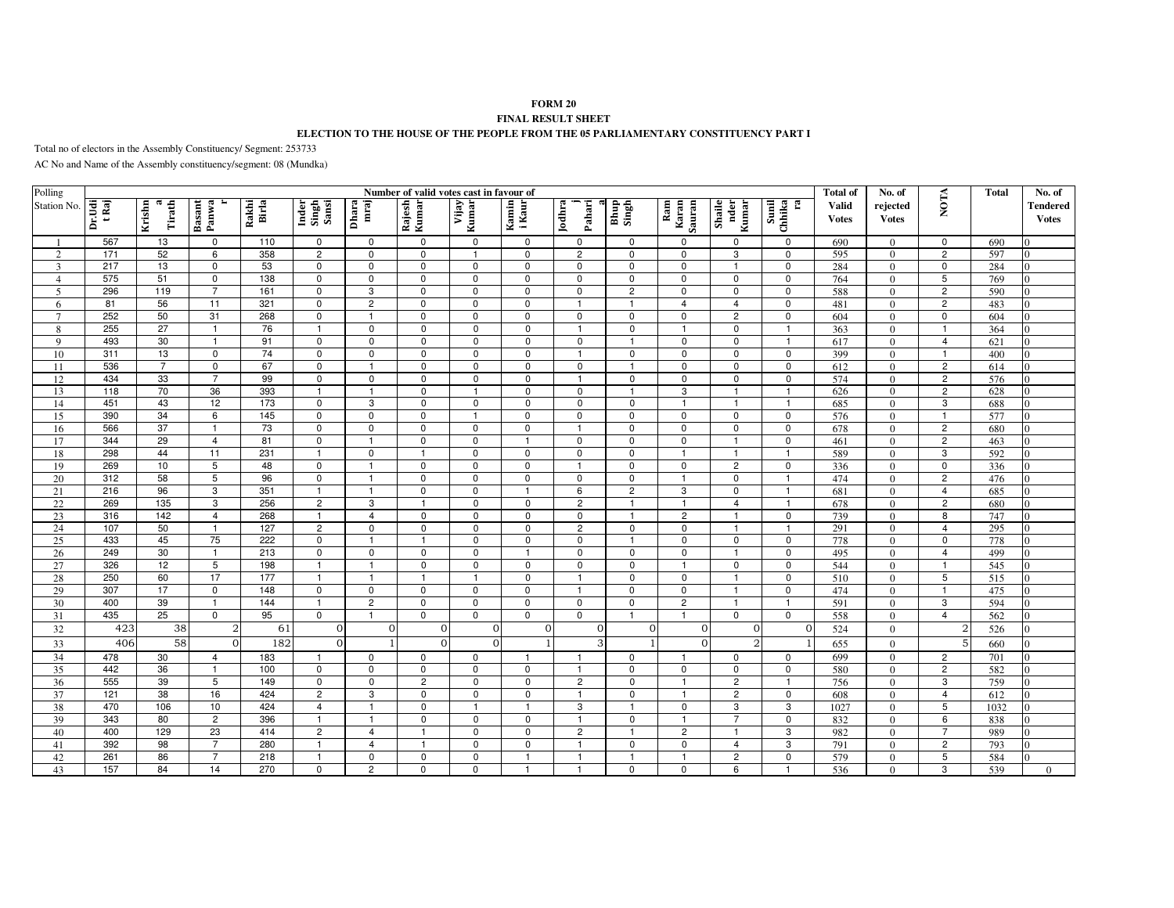## **FORM 20FINAL RESULT SHEET**

## **ELECTION TO THE HOUSE OF THE PEOPLE FROM THE 05 PARLIAMENTARY CONSTITUENCY PART I**

Total no of electors in the Assembly Constituency/ Segment: 253733

AC No and Name of the Assembly constituency/segment: 08 (Mundka)

| Polling        |                 | <b>Total of</b><br>Number of valid votes cast in favour of |                 |                |                          |                  |                            |                             |                            |                            |                             |                        |                         |                       |                        | No. of                   |                     | <b>Total</b> | No. of                          |
|----------------|-----------------|------------------------------------------------------------|-----------------|----------------|--------------------------|------------------|----------------------------|-----------------------------|----------------------------|----------------------------|-----------------------------|------------------------|-------------------------|-----------------------|------------------------|--------------------------|---------------------|--------------|---------------------------------|
| Station No.    | Dr.Udi<br>t Raj | Krishn<br>$\mathbf{\alpha}$<br>Tirath                      | Basant<br>Panwa | Rakhi<br>Birla | Inder<br>Singh<br>Sansi  | mraj<br>Dhara    | Rajesh<br>Kumar            | Vijay<br>Kumar              | Kamin<br>i Kaur            | Jodhra<br>Pahari           | Bhup<br>Singh               | Ram<br>Karan<br>Sauran | Shaile<br>nder<br>Kumar | Sunil<br>Chhika<br>Ŀ, | Valid<br><b>V</b> otes | rejected<br><b>Votes</b> | NOTA                |              | <b>Tendered</b><br><b>Votes</b> |
|                | 567             | 13                                                         | 0               | 110            | 0                        | $\mathbf 0$      | $\mathbf 0$                | $\mathbf 0$                 | 0                          | $\mathbf 0$                | 0                           | 0                      | 0                       | $\mathsf 0$           | 690                    | $\Omega$                 | 0                   | 690          |                                 |
| $\overline{2}$ | 171             | 52                                                         | 6               | 358            | $\overline{2}$           | $\overline{0}$   | $\overline{0}$             | $\mathbf{1}$                | $\mathbf 0$                | $\overline{c}$             | $\Omega$                    | $\mathbf 0$            | 3                       | $\overline{0}$        | 595                    | $\Omega$                 | $\overline{2}$      | 597          |                                 |
| 3              | 217             | 13                                                         | 0               | 53             | $\mathbf 0$              | $\mathbf 0$      | $\mathbf 0$                | $\mathbf 0$                 | $\mathbf 0$                | $\mathbf 0$                | $\mathbf 0$                 | $\mathbf 0$            | $\overline{1}$          | $\mathbf 0$           | 284                    | $\theta$                 | $\mathbf 0$         | 284          |                                 |
| $\overline{4}$ | 575             | 51                                                         | $\mathbf 0$     | 138            | $\pmb{0}$                | $\mathbf 0$      | $\mathbf 0$                | $\mathbf 0$                 | $\mathbf 0$                | $\Omega$                   | $\mathbf 0$                 | $\mathbf 0$            | $\mathbf 0$             | $\mathbf 0$           | 764                    | $\Omega$                 | 5                   | 769          |                                 |
| 5              | 296             | 119                                                        | $\overline{7}$  | 161            | $\mathbf 0$              | 3                | $\mathbf 0$                | $\mathbf 0$                 | $\mathbf 0$                | $\mathbf 0$                | $\overline{2}$              | $\mathbf 0$            | $\mathbf 0$             | $\mathsf 0$           | 588                    | $\Omega$                 | $\overline{c}$      | 590          | $\Omega$                        |
| 6              | 81              | 56                                                         | 11              | 321            | $\mathbf 0$              | $\overline{2}$   | $\mathbf 0$                | $\mathbf 0$                 | $\mathbf 0$                | $\overline{\mathbf{1}}$    | -1                          | $\overline{4}$         | $\overline{4}$          | $\mathbf 0$           | 481                    | $\Omega$                 | $\overline{c}$      | 483          | $\Omega$                        |
| $\tau$         | 252             | 50                                                         | 31              | 268            | $\pmb{0}$                | $\overline{1}$   | $\mathbf 0$                | $\mathbf 0$                 | $\mathbf 0$                | $\mathbf 0$                | $\mathbf 0$                 | $\mathbf 0$            | $\overline{c}$          | $\mathbf 0$           | 604                    | $\mathbf{0}$             | 0                   | 604          | $\Omega$                        |
| 8              | 255             | 27                                                         | $\overline{1}$  | 76             | $\overline{1}$           | 0                | $\mathsf 0$                | $\mathbf 0$                 | $\mathbf 0$                | -1                         | 0                           | $\mathbf{1}$           | $\mathbf 0$             | $\mathbf{1}$          | 363                    | $\Omega$                 | -1                  | 364          |                                 |
| $\overline{9}$ | 493             | 30                                                         | $\overline{1}$  | 91             | $\mathbf 0$              | $\mathbf 0$      | $\overline{0}$             | $\mathbf 0$                 | $\mathbf 0$                | $\mathbf 0$                | $\mathbf{1}$                | $\mathbf 0$            | $\mathbf 0$             | $\mathbf{1}$          | 617                    | $\theta$                 | $\overline{4}$      | 621          | $\Omega$                        |
| 10             | 311             | 13                                                         | $\mathbf 0$     | 74             | $\mathbf 0$              | $\mathbf 0$      | $\mathbf 0$                | $\mathbf 0$                 | $\mathbf 0$                | $\overline{1}$             | $\mathbf 0$                 | $\mathbf 0$            | $\mathbf 0$             | $\mathbf 0$           | 399                    | $\Omega$                 | $\overline{1}$      | 400          | $\Omega$                        |
| 11             | 536             | $\overline{7}$                                             | $\mathbf 0$     | 67             | 0                        |                  | $\mathbf 0$                | $\mathbf 0$                 | $\mathbf 0$                | $\mathbf 0$                | $\overline{1}$              | $\Omega$               | $\Omega$                | $\mathbf 0$           | 612                    | $\Omega$                 | $\overline{c}$      | 614          |                                 |
| 12             | 434             | 33                                                         | $\overline{7}$  | 99             | 0                        | $\mathbf 0$      | $\mathbf 0$                | $\mathbf 0$                 | $\mathbf 0$                | -1                         | $\mathbf 0$                 | $\mathbf 0$            | $\mathbf 0$             | $\mathbf 0$           | 574                    | $\Omega$                 | $\overline{c}$      | 576          |                                 |
| 13             | 118<br>451      | 70<br>43                                                   | 36<br>12        | 393<br>173     | -1                       | -1               | $\mathbf 0$<br>$\mathbf 0$ | $\mathbf{1}$<br>$\mathbf 0$ | $\mathbf 0$<br>$\mathbf 0$ | $\mathbf 0$<br>$\mathbf 0$ | $\mathbf{1}$<br>$\mathsf 0$ | 3<br>$\mathbf{1}$      | -1<br>-1                | -1<br>$\mathbf{1}$    | 626                    | $\Omega$<br>$\theta$     | $\overline{c}$<br>3 | 628          | $\Omega$<br>$\Omega$            |
| 14<br>15       | 390             | 34                                                         | 6               | 145            | $\mathbf 0$<br>$\pmb{0}$ | 3<br>$\mathbf 0$ | $\mathsf 0$                | $\overline{1}$              | $\mathbf 0$                | $\mathbf 0$                | $\mathbf 0$                 | $\mathbf 0$            | $\mathbf 0$             | $\mathsf 0$           | 685<br>576             | $\theta$                 | $\overline{1}$      | 688<br>577   | $\Omega$                        |
| 16             | 566             | $\overline{37}$                                            | $\mathbf{1}$    | 73             | $\overline{0}$           | $\overline{0}$   | $\overline{0}$             | $\mathbf 0$                 | $\Omega$                   | $\overline{1}$             | $\mathbf 0$                 | $\mathbf 0$            | $\overline{0}$          | $\overline{0}$        | 678                    | $\theta$                 | $\overline{2}$      | 680          |                                 |
| 17             | 344             | 29                                                         | $\overline{4}$  | 81             | $\mathbf 0$              | $\overline{1}$   | $\mathbf 0$                | $\mathbf 0$                 | $\overline{1}$             | $\mathbf 0$                | $\mathbf 0$                 | $\mathbf 0$            | $\overline{1}$          | $\mathsf 0$           | 461                    | $\Omega$                 | $\overline{c}$      | 463          |                                 |
| 18             | 298             | 44                                                         | 11              | 231            | $\overline{1}$           | $\mathbf 0$      | $\overline{1}$             | $\mathbf 0$                 | $\Omega$                   | $\Omega$                   | $\mathbf 0$                 |                        | f.                      | $\overline{1}$        | 589                    | $\Omega$                 | 3                   | 592          |                                 |
| 19             | 269             | 10                                                         | 5               | 48             | $\mathsf 0$              | $\overline{1}$   | $\mathsf 0$                | $\mathbf 0$                 | $\mathbf 0$                | $\mathbf{1}$               | 0                           | $\mathbf 0$            | $\overline{c}$          | $\mathsf 0$           | 336                    | $\Omega$                 | $\mathbf 0$         | 336          |                                 |
| 20             | 312             | 58                                                         | 5               | 96             | $\mathbf 0$              | $\overline{1}$   | $\mathbf 0$                | $\mathbf 0$                 | $\mathbf 0$                | $\mathbf 0$                | 0                           | -1                     | $\mathbf 0$             | $\overline{1}$        | 474                    | $\Omega$                 | $\overline{c}$      | 476          | $\Omega$                        |
| 21             | 216             | 96                                                         | 3               | 351            | $\overline{1}$           | $\overline{1}$   | $\mathsf 0$                | $\mathbf 0$                 | $\overline{1}$             | 6                          | $\overline{c}$              | 3                      | $\mathsf 0$             | $\mathbf{1}$          | 681                    | $\theta$                 | $\overline{4}$      | 685          | $\Omega$                        |
| $22\,$         | 269             | 135                                                        | 3               | 256            | $\overline{c}$           | 3                | $\overline{1}$             | $\mathbf 0$                 | $\mathbf 0$                | $\overline{2}$             | $\mathbf{1}$                | $\overline{1}$         | $\overline{4}$          | $\overline{1}$        | 678                    | $\theta$                 | $\overline{c}$      | 680          | $\Omega$                        |
| 23             | 316             | 142                                                        | $\overline{4}$  | 268            | $\overline{1}$           | $\overline{4}$   | $\overline{0}$             | $\overline{0}$              | $\mathbf 0$                | $\mathbf 0$                | $\mathbf{1}$                | $\overline{2}$         | $\mathbf{1}$            | $\mathbf 0$           | 739                    | $\theta$                 | $\overline{8}$      | 747          | $\Omega$                        |
| 24             | 107             | 50                                                         | $\overline{1}$  | 127            | $\overline{2}$           | $\mathbf 0$      | $\mathsf 0$                | $\mathbf 0$                 | $\mathbf 0$                | $\overline{2}$             | $\mathbf 0$                 | $\mathbf 0$            | $\overline{1}$          | $\mathbf{1}$          | 291                    | $\Omega$                 | $\overline{4}$      | 295          | $\Omega$                        |
| 25             | 433             | 45                                                         | 75              | 222            | $\pmb{0}$                | $\overline{1}$   | $\mathbf{1}$               | $\Omega$                    | $\Omega$                   | $\mathbf 0$                | $\overline{1}$              | $\Omega$               | $\Omega$                | $\mathbf 0$           | 778                    | $\Omega$                 | $\Omega$            | 778          |                                 |
| 26             | 249             | 30                                                         | $\mathbf{1}$    | 213            | 0                        | 0                | $\mathbf 0$                | $\Omega$                    |                            | $\mathbf 0$                | 0                           | $\mathbf 0$            |                         | $\pmb{0}$             | 495                    | $\Omega$                 | $\overline{4}$      | 499          |                                 |
| 27             | 326             | 12                                                         | 5               | 198            |                          | $\mathbf{1}$     | $\overline{0}$             | $\mathbf 0$                 | $\mathbf 0$                | $\mathbf 0$                | $\mathbf 0$                 | -1                     | $\mathbf 0$             | $\mathbf 0$           | 544                    | $\Omega$                 | $\mathbf{1}$        | 545          | $\Omega$                        |
| 28             | 250             | 60                                                         | 17              | 177            | $\overline{1}$           | $\overline{1}$   | $\overline{1}$             | $\overline{1}$              | $\mathbf 0$                | $\mathbf{1}$               | $\mathsf 0$                 | $\mathbf 0$            | -1                      | $\mathbf 0$           | 510                    | $\Omega$                 | 5                   | 515          | $\Omega$                        |
| 29             | 307             | 17                                                         | $\mathbf 0$     | 148            | $\mathbf 0$              | $\mathbf 0$      | $\mathsf 0$                | $\mathbf 0$                 | $\mathbf 0$                | $\overline{1}$             | $\mathbf 0$                 | $\mathbf 0$            | $\overline{1}$          | $\mathbf 0$           | 474                    | $\theta$                 | $\overline{1}$      | 475          | $\Omega$                        |
| 30             | 400             | 39                                                         | $\overline{1}$  | 144            | $\overline{1}$           | $\overline{2}$   | $\mathsf 0$                | $\mathbf 0$                 | $\mathbf 0$                | $\mathbf 0$                | $\mathbf 0$                 | $\overline{c}$         | $\overline{1}$          | $\mathbf{1}$          | 591                    | $\theta$                 | 3                   | 594          |                                 |
| 31             | 435             | 25                                                         | $\Omega$        | 95             | $\mathbf{0}$             | $\overline{1}$   | $\Omega$                   | $\Omega$                    | $\Omega$                   | $\Omega$                   | $\mathbf{1}$                | $\mathbf{1}$           | $\Omega$                | $\Omega$              | 558                    | $\Omega$                 | $\overline{4}$      | 562          |                                 |
| 32             | 423             | 38                                                         | $\overline{2}$  | 61             | $\overline{0}$           | $\mathbf{0}$     | $\mathbf{O}$               | $\Omega$                    | $\mathbf{0}$               | $\Omega$                   | $\mathbf{O}$                | $\overline{0}$         | $\overline{0}$          | $\Omega$              | 524                    | $\Omega$                 | $\overline{2}$      | 526          | $\Omega$                        |
| 33             | 406             | $\overline{58}$                                            | $\Omega$        | 182            | $\Omega$                 |                  | $\Omega$                   | $\Omega$                    |                            | 3                          | $\mathbf{1}$                | $\Omega$               | $\overline{2}$          |                       | 655                    | $\theta$                 | 5 <sup>1</sup>      | 660          | $\Omega$                        |
| 34             | 478             | 30                                                         | $\overline{4}$  | 183            | $\overline{1}$           | $\mathbf 0$      | $\mathbf 0$                | $\mathbf 0$                 | $\mathbf{1}$               | $\mathbf{1}$               | 0                           | -1                     | $\mathbf 0$             | $\mathbf 0$           | 699                    | $\Omega$                 | $\overline{c}$      | 701          | $\Omega$                        |
| 35             | 442             | 36                                                         | $\mathbf{1}$    | 100            | $\pmb{0}$                | $\mathbf{0}$     | $\mathsf 0$                | $\mathbf 0$                 | $\mathbf 0$                | $\overline{1}$             | $\mathbf 0$                 | $\mathbf 0$            | $\mathbf 0$             | $\mathbf 0$           | 580                    | $\theta$                 | $\overline{c}$      | 582          | $\Omega$                        |
| 36             | 555             | 39                                                         | 5               | 149            | 0                        | $\overline{0}$   | $\overline{2}$             | $\mathbf 0$                 | $\mathbf 0$                | $\overline{2}$             | $\mathbf 0$                 | $\overline{1}$         | $\overline{c}$          | $\mathbf{1}$          | 756                    | $\theta$                 | 3                   | 759          |                                 |
| 37             | 121             | 38                                                         | 16              | 424            | $\overline{2}$           | 3                | $\mathbf 0$                | $\mathbf 0$                 | $\mathbf 0$                | -1                         | 0                           | $\mathbf{1}$           | $\overline{2}$          | $\mathbf 0$           | 608                    | $\theta$                 | 4                   | 612          |                                 |
| 38             | 470             | 106                                                        | 10              | 424            | $\overline{4}$           | $\overline{1}$   | $\mathbf 0$                | $\overline{1}$              | $\overline{1}$             | 3                          | $\mathbf{1}$                | $\Omega$               | 3                       | 3                     | 1027                   | $\Omega$                 | 5                   | 1032         | $\Omega$                        |
| 39             | 343             | 80                                                         | $\overline{2}$  | 396            |                          | $\overline{1}$   | $\pmb{0}$                  | $\mathsf 0$                 | $\mathbf 0$                |                            | $\pmb{0}$                   |                        | $\overline{7}$          | $\pmb{0}$             | 832                    | $\mathbf{0}$             | 6                   | 838          | $\Omega$                        |
| 40             | 400             | 129                                                        | 23              | 414            | $\overline{2}$           | $\overline{4}$   | $\mathbf{1}$               | $\mathbf 0$                 | $\mathbf 0$                | $\overline{2}$             | $\mathbf{1}$                | $\overline{c}$         | $\mathbf{1}$            | 3                     | 982                    | $\Omega$                 | $\overline{7}$      | 989          | $\Omega$                        |
| 41             | 392             | 98                                                         | $\overline{7}$  | 280            | -1                       | $\overline{4}$   | $\overline{1}$             | $\mathbf 0$                 | $\mathbf 0$                | -1                         | $\mathbf 0$                 | $\mathbf 0$            | $\overline{4}$          | 3                     | 791                    | $\Omega$                 | $\overline{c}$      | 793          | $\Omega$                        |
| 42             | 261             | 86                                                         | $\overline{7}$  | 218            | -1                       | $\mathbf 0$      | $\mathsf 0$                | $\mathbf 0$                 | $\mathbf{1}$               | -1                         | $\mathbf{1}$                | -1                     | $\overline{c}$          | $\mathbf 0$           | 579                    | $\Omega$                 | 5                   | 584          | $\Omega$                        |
| 43             | 157             | 84                                                         | 14              | 270            | $\mathbf 0$              | $\mathbf{2}$     | $\mathsf 0$                | 0                           | $\overline{1}$             | $\mathbf{1}$               | $\mathbf 0$                 | 0                      | 6                       | $\mathbf{1}$          | 536                    | $\Omega$                 | 3                   | 539          | $\overline{0}$                  |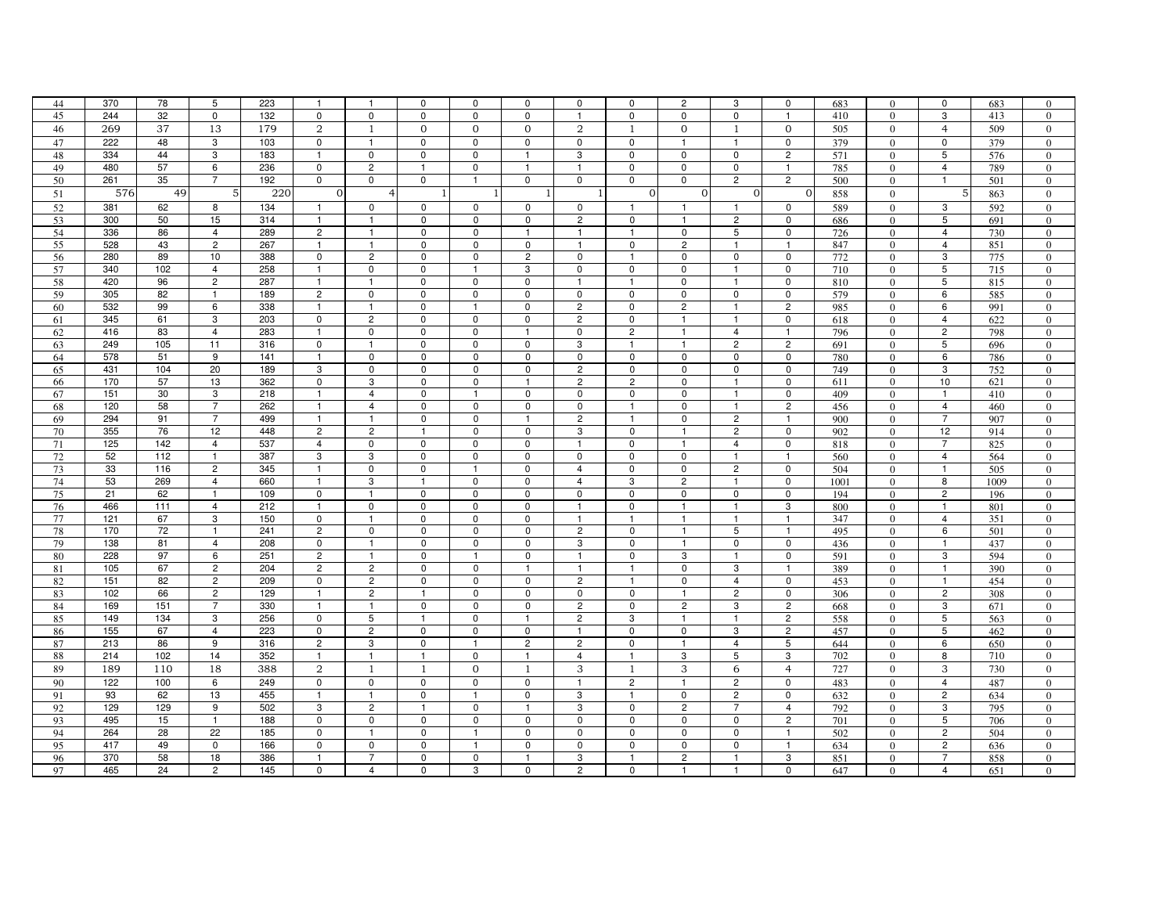| 44 | 370 | 78  | 5              | 223 | $\overline{\mathbf{1}}$ | $\mathbf{1}$   | 0            | $\Omega$       | $\mathbf 0$    | $\mathbf 0$    | 0              | 2                       | 3                       | 0              | 683  | $\mathbf{0}$   | 0              | 683  | $\Omega$         |
|----|-----|-----|----------------|-----|-------------------------|----------------|--------------|----------------|----------------|----------------|----------------|-------------------------|-------------------------|----------------|------|----------------|----------------|------|------------------|
| 45 | 244 | 32  | $\mathbf 0$    | 132 | $\mathbf 0$             | $\mathbf 0$    | 0            | $\mathbf 0$    | $\mathbf 0$    | $\mathbf{1}$   | 0              | 0                       | 0                       | $\mathbf{1}$   | 410  | $\overline{0}$ | 3              | 413  | $\overline{0}$   |
| 46 | 269 | 37  | 13             | 179 | $\overline{2}$          | $\mathbf{1}$   | $\mathbf 0$  | 0              | $\mathbf{0}$   | 2              | 1              | $\overline{0}$          | $\mathbf{1}$            | $\overline{0}$ | 505  | $\mathbf{0}$   | $\overline{4}$ | 509  | $\overline{0}$   |
| 47 | 222 | 48  | 3              | 103 | 0                       | $\mathbf{1}$   | 0            | 0              | $\mathbf 0$    | 0              | 0              |                         | $\mathbf{1}$            | 0              | 379  | $\mathbf{0}$   | 0              | 379  | $\mathbf{0}$     |
| 48 | 334 | 44  | 3              | 183 | $\mathbf{1}$            | $\mathbf 0$    | $\mathbf 0$  | $\Omega$       | $\mathbf{1}$   | 3              | $\mathbf 0$    | $\Omega$                | 0                       | $\overline{c}$ | 571  | $\Omega$       | 5              | 576  | $\overline{0}$   |
| 49 | 480 | 57  | 6              | 236 | $\mathsf 0$             | $\overline{c}$ | $\mathbf{1}$ | 0              | $\mathbf{1}$   | $\overline{1}$ | 0              | 0                       | 0                       | $\mathbf{1}$   | 785  | $\Omega$       | 4              | 789  | $\overline{0}$   |
| 50 | 261 | 35  | $\overline{7}$ | 192 | $\mathbf 0$             | $\mathbf 0$    | $\mathsf 0$  | $\mathbf{1}$   | $\mathbf 0$    | 0              | 0              | 0                       | $\overline{c}$          | $\overline{c}$ | 500  | $\mathbf{0}$   | $\mathbf{1}$   | 501  | $\overline{0}$   |
| 51 | 576 | 49  | 5              | 220 | $\mathbf{0}$            | 4              | -1           | -1             | 1              |                | $\mathbf{0}$   | $\mathbf{0}$            | $\mathbf{0}$            | $\overline{O}$ | 858  | $\overline{0}$ | 5 <sup>1</sup> | 863  | $\mathbf{0}$     |
| 52 | 381 | 62  | 8              | 134 | -1                      | 0              | 0            | 0              | 0              | 0              | $\mathbf{1}$   | -1                      | $\mathbf{1}$            | $\mathbf 0$    | 589  | $\overline{0}$ | 3              | 592  | $\mathbf{0}$     |
| 53 | 300 | 50  | 15             | 314 | $\mathbf{1}$            | $\mathbf{1}$   | 0            | 0              | $\mathbf 0$    | $\overline{c}$ | $\mathbf 0$    | -1                      | $\overline{\mathbf{c}}$ | 0              | 686  | $\mathbf{0}$   | 5              | 691  | $\mathbf{0}$     |
| 54 | 336 | 86  | $\overline{4}$ | 289 | $\overline{c}$          | $\mathbf{1}$   | 0            | 0              | $\mathbf{1}$   | $\overline{1}$ | $\mathbf{1}$   | $\mathbf 0$             | 5                       | 0              | 726  | $\Omega$       | $\overline{4}$ | 730  | $\mathbf{0}$     |
| 55 | 528 | 43  | $\overline{2}$ | 267 | $\mathbf{1}$            | $\mathbf{1}$   | 0            | $\mathbf 0$    | 0              | $\mathbf{1}$   | $\mathbf 0$    | $\overline{2}$          | $\overline{1}$          | $\mathbf{1}$   | 847  | $\mathbf{0}$   | 4              | 851  | $\overline{0}$   |
| 56 | 280 | 89  | 10             | 388 | $\mathbf 0$             | $\overline{c}$ | 0            | 0              | $\overline{c}$ | $\mathbf 0$    | $\overline{1}$ | 0                       | 0                       | 0              | 772  | $\mathbf{0}$   | 3              | 775  | $\overline{0}$   |
| 57 | 340 | 102 | $\overline{4}$ | 258 | $\mathbf{1}$            | $\mathsf 0$    | 0            |                | 3              | 0              | 0              | $\mathbf 0$             | $\mathbf{1}$            | 0              | 710  | $\mathbf{0}$   | 5              | 715  | $\mathbf{0}$     |
| 58 | 420 | 96  | $\overline{2}$ | 287 | $\mathbf{1}$            | $\mathbf{1}$   | 0            | $\mathbf 0$    | $\mathbf 0$    | $\overline{1}$ | $\overline{1}$ | 0                       | $\overline{1}$          | $\mathbf 0$    | 810  | $\overline{0}$ | 5              | 815  | $\overline{0}$   |
| 59 | 305 | 82  | $\mathbf{1}$   | 189 | $\overline{c}$          | 0              | $\mathsf 0$  | 0              | 0              | 0              | 0              | 0                       | 0                       | 0              | 579  | $\mathbf{0}$   | 6              | 585  | $\overline{0}$   |
| 60 | 532 | 99  | 6              | 338 | $\mathbf{1}$            | $\mathbf{1}$   | $\mathsf 0$  | $\mathbf{1}$   | $\mathbf 0$    | $\overline{c}$ | 0              | $\overline{c}$          | $\overline{1}$          | $\overline{c}$ | 985  | $\theta$       | 6              | 991  | $\mathbf{0}$     |
| 61 | 345 | 61  | 3              | 203 | $\mathbf 0$             | $\overline{c}$ | $\mathbf 0$  | $\mathbf 0$    | $\mathbf 0$    | $\overline{2}$ | $\mathbf 0$    | $\overline{1}$          | $\overline{1}$          | 0              | 618  | $\Omega$       | $\overline{4}$ | 622  | $\overline{0}$   |
| 62 | 416 | 83  | $\overline{4}$ | 283 | $\mathbf{1}$            | 0              | 0            | $\mathbf 0$    | $\mathbf{1}$   | $\mathbf 0$    | $\overline{2}$ | $\overline{1}$          | $\overline{4}$          | $\mathbf{1}$   | 796  | $\overline{0}$ | $\overline{c}$ | 798  | $\overline{0}$   |
| 63 | 249 | 105 | 11             | 316 | $\mathbf 0$             | $\mathbf{1}$   | $\mathsf 0$  | $\mathbf 0$    | $\mathbf 0$    | 3              | $\mathbf{1}$   | $\overline{1}$          | $\overline{c}$          | $\overline{2}$ | 691  | $\overline{0}$ | 5              | 696  | $\overline{0}$   |
| 64 | 578 | 51  | 9              | 141 | $\mathbf{1}$            | 0              | $\mathbf 0$  | 0              | $\Omega$       | 0              | $\mathbf 0$    | $\mathbf 0$             | 0                       | 0              | 780  | $\mathbf{0}$   | 6              | 786  | $\overline{0}$   |
| 65 | 431 | 104 | 20             | 189 | 3                       | 0              | 0            | 0              | 0              | 2              | 0              | 0                       | 0                       | 0              | 749  | $\overline{0}$ | 3              | 752  | $\overline{0}$   |
| 66 | 170 | 57  | 13             | 362 | $\mathbf 0$             | 3              | 0            | 0              | $\mathbf{1}$   | $\overline{c}$ | $\overline{c}$ | 0                       | $\mathbf{1}$            | 0              | 611  | $\mathbf{0}$   | $10$           | 621  | $\overline{0}$   |
| 67 | 151 | 30  | 3              | 218 | $\mathbf{1}$            | $\overline{4}$ | 0            | -1             | $\mathbf 0$    | 0              | 0              | $\mathbf 0$             | $\overline{1}$          | 0              | 409  | $\mathbf{0}$   | -1             | 410  | $\overline{0}$   |
| 68 | 120 | 58  | $\overline{7}$ | 262 | $\mathbf{1}$            | $\overline{4}$ | $\mathbf 0$  | $\mathbf 0$    | $\mathbf 0$    | $\mathbf 0$    | $\mathbf{1}$   | $\mathbf 0$             | $\overline{1}$          | $\overline{c}$ | 456  | $\mathbf{0}$   | $\overline{4}$ | 460  | $\mathbf{0}$     |
| 69 | 294 | 91  | $\overline{7}$ | 499 | $\overline{1}$          | $\mathbf{1}$   | $\mathsf 0$  | $\mathbf 0$    | $\mathbf{1}$   | $\overline{2}$ | $\mathbf{1}$   | $\mathbf 0$             | $\overline{2}$          | $\mathbf{1}$   | 900  | $\mathbf{0}$   | $\overline{7}$ | 907  | $\overline{0}$   |
| 70 | 355 | 76  | 12             | 448 | $\overline{c}$          | $\overline{c}$ |              | 0              | 0              | 3              | 0              | -1                      | $\overline{c}$          | 0              | 902  | $\mathbf{0}$   | 12             | 914  | $\overline{0}$   |
| 71 | 125 | 142 | $\overline{4}$ | 537 | 4                       | 0              | 0            | $\Omega$       | $\mathbf 0$    | $\mathbf{1}$   | $\mathbf 0$    |                         | $\overline{4}$          | 0              | 818  | $\Omega$       | $\overline{7}$ | 825  | $\mathbf{0}$     |
| 72 | 52  | 112 | $\mathbf{1}$   | 387 | 3                       | 3              | $\mathsf 0$  | $\mathbf 0$    | $\mathbf 0$    | $\mathbf 0$    | 0              | $\mathbf 0$             | $\overline{1}$          | $\mathbf{1}$   | 560  | $\overline{0}$ | $\overline{4}$ | 564  | $\mathbf{0}$     |
| 73 | 33  | 116 | $\overline{2}$ | 345 | $\overline{1}$          | $\mathbf 0$    | $\mathbf 0$  | $\mathbf{1}$   | 0              | 4              | 0              | 0                       | $\overline{\mathbf{c}}$ | 0              | 504  | $\overline{0}$ | $\mathbf{1}$   | 505  | $\boldsymbol{0}$ |
| 74 | 53  | 269 | $\overline{4}$ | 660 | $\mathbf{1}$            | 3              | 1            | $\Omega$       | $\mathbf 0$    | $\overline{4}$ | 3              | $\overline{c}$          | $\mathbf{1}$            | 0              | 1001 | $\Omega$       | 8              | 1009 | $\overline{0}$   |
| 75 | 21  | 62  | $\mathbf{1}$   | 109 | $\mathsf 0$             | $\mathbf{1}$   | $\mathsf 0$  | 0              | 0              | 0              | $\mathbf 0$    | 0                       | 0                       | 0              | 194  | $\mathbf{0}$   | $\overline{c}$ | 196  | $\overline{0}$   |
| 76 | 466 | 111 | $\overline{4}$ | 212 | $\mathbf{1}$            | $\mathsf 0$    | $\mathsf 0$  | $\mathbf 0$    | $\mathbf 0$    | $\overline{1}$ | 0              | $\overline{1}$          | $\overline{1}$          | 3              | 800  | $\mathbf{0}$   | $\overline{1}$ | 801  | $\boldsymbol{0}$ |
| 77 | 121 | 67  | 3              | 150 | $\mathbf 0$             | $\mathbf{1}$   | 0            | $\Omega$       | $\Omega$       | $\mathbf{1}$   | $\mathbf{1}$   | -1                      | $\mathbf{1}$            | 1              | 347  | $\overline{0}$ | 4              | 351  | $\overline{0}$   |
| 78 | 170 | 72  | $\overline{1}$ | 241 | $\overline{c}$          | 0              | 0            | 0              | $\Omega$       | $\overline{c}$ | $\mathbf 0$    | -1                      | 5                       | $\mathbf{1}$   | 495  | $\mathbf{0}$   | 6              | 501  | $\mathbf{0}$     |
| 79 | 138 | 81  | $\overline{4}$ | 208 | $\mathbf 0$             | $\overline{1}$ | 0            | 0              | $\mathbf 0$    | 3              | 0              | $\overline{\mathbf{1}}$ | 0                       | 0              | 436  | $\mathbf{0}$   | $\overline{1}$ | 437  | $\mathbf{0}$     |
| 80 | 228 | 97  | 6              | 251 | $\overline{c}$          | $\mathbf{1}$   | 0            | -1             | $\mathbf 0$    | $\mathbf{1}$   | $\mathbf 0$    | 3                       | $\mathbf{1}$            | 0              | 591  | $\overline{0}$ | 3              | 594  | $\overline{0}$   |
| 81 | 105 | 67  | $\overline{2}$ | 204 | 2                       | $\overline{c}$ | 0            | 0              | -1             | $\mathbf{1}$   | $\mathbf{1}$   | $\mathbf 0$             | 3                       | 1              | 389  | $\mathbf{0}$   | $\mathbf{1}$   | 390  | $\overline{0}$   |
| 82 | 151 | 82  | $\overline{c}$ | 209 | $\mathbf 0$             | $\overline{c}$ | 0            | 0              | $\mathbf 0$    | $\overline{c}$ | $\mathbf{1}$   | $\mathbf 0$             | $\overline{4}$          | 0              | 453  | $\theta$       | $\overline{1}$ | 454  | $\mathbf{0}$     |
| 83 | 102 | 66  | $\overline{2}$ | 129 | $\mathbf{1}$            | $\overline{c}$ | $\mathbf{1}$ | $\mathbf 0$    | $\mathbf 0$    | 0              | $\mathbf 0$    | $\mathbf{1}$            | $\overline{c}$          | $\mathbf 0$    | 306  | $\overline{0}$ | $\overline{2}$ | 308  | $\overline{0}$   |
| 84 | 169 | 151 | 7              | 330 | $\mathbf{1}$            | -1             | 0            | 0              | $\mathbf 0$    | 2              | $\mathbf 0$    | $\overline{2}$          | 3                       | $\overline{2}$ | 668  | $\mathbf{0}$   | 3              | 671  | $\overline{0}$   |
| 85 | 149 | 134 | 3              | 256 | $\mathsf 0$             | 5              | $\mathbf{1}$ | $\Omega$       | $\overline{1}$ | $\overline{c}$ | 3              | $\overline{1}$          | $\mathbf{1}$            | $\overline{c}$ | 558  | $\theta$       | 5              | 563  | $\mathbf{0}$     |
| 86 | 155 | 67  | $\overline{4}$ | 223 | 0                       | $\overline{c}$ | $\mathbf 0$  | 0              | $\mathbf 0$    | $\overline{1}$ | $\mathbf 0$    | 0                       | 3                       | $\overline{2}$ | 457  | $\mathbf{0}$   | 5              | 462  | $\overline{0}$   |
| 87 | 213 | 86  | 9              | 316 | $\overline{c}$          | 3              | 0            | 1              | $\overline{c}$ | $\overline{2}$ | 0              | -1                      | $\overline{4}$          | 5              | 644  | $\mathbf{0}$   | 6              | 650  | $\mathbf{0}$     |
| 88 | 214 | 102 | 14             | 352 | $\mathbf{1}$            | $\mathbf{1}$   | $\mathbf{1}$ | $\mathbf 0$    | $\overline{1}$ | $\overline{4}$ | $\mathbf{1}$   | 3                       | 5                       | 3              | 702  | $\overline{0}$ | 8              | 710  | $\mathbf{0}$     |
| 89 | 189 | 110 | 18             | 388 | $\boldsymbol{2}$        | $\overline{1}$ | $\mathbf{1}$ | $\overline{0}$ | $\overline{1}$ | 3              | $\mathbf{1}$   | 3                       | 6                       | $\overline{4}$ | 727  | $\mathbf{0}$   | 3              | 730  | $\mathbf{0}$     |
| 90 | 122 | 100 | 6              | 249 | $\mathbf 0$             | $\mathbf 0$    | $\mathbf 0$  | $\Omega$       | $\Omega$       | $\mathbf{1}$   | $\overline{2}$ | $\mathbf{1}$            | $\overline{c}$          | $\mathbf 0$    | 483  | $\Omega$       | $\overline{4}$ | 487  | $\mathbf{0}$     |
| 91 | 93  | 62  | 13             | 455 | $\mathbf{1}$            | $\mathbf{1}$   | 0            | $\mathbf{1}$   | $\mathbf 0$    | 3              | $\overline{1}$ | 0                       | $\overline{2}$          | $\mathbf 0$    | 632  | $\overline{0}$ | $\overline{c}$ | 634  | $\overline{0}$   |
| 92 | 129 | 129 | 9              | 502 | 3                       | $\overline{c}$ | -1           | 0              | $\mathbf{1}$   | 3              | 0              | $\overline{c}$          | $\overline{7}$          | 4              | 792  | $\mathbf{0}$   | 3              | 795  | $\boldsymbol{0}$ |
| 93 | 495 | 15  | $\mathbf{1}$   | 188 | $\mathbf 0$             | $\mathbf 0$    | 0            | 0              | $\mathbf 0$    | 0              | $\mathbf 0$    | $\mathbf 0$             | 0                       | $\overline{2}$ | 701  | $\overline{0}$ | 5              | 706  | $\overline{0}$   |
| 94 | 264 | 28  | 22             | 185 | $\mathbf 0$             | -1             | 0            | -1             | $\Omega$       | $\mathbf 0$    | $\mathbf 0$    | $\mathbf 0$             | 0                       | $\mathbf{1}$   | 502  | $\Omega$       | $\overline{c}$ | 504  | $\mathbf{0}$     |
| 95 | 417 | 49  | $\mathbf 0$    | 166 | $\mathsf 0$             | $\mathsf 0$    | 0            | $\overline{1}$ | $\mathbf 0$    | $\mathbf 0$    | $\mathbf 0$    | $\mathbf 0$             | $\mathbf 0$             | $\overline{1}$ | 634  | $\mathbf{0}$   | $\overline{c}$ | 636  | $\mathbf{0}$     |
| 96 | 370 | 58  | 18             | 386 |                         | $\overline{7}$ | 0            | 0              |                | 3              |                | $\overline{c}$          | $\mathbf{1}$            | 3              | 851  | $\Omega$       | 7              | 858  | $\mathbf{0}$     |
| 97 | 465 | 24  | $\overline{2}$ | 145 | $\Omega$                | $\overline{4}$ | $\mathbf 0$  | 3              | $\Omega$       | $\overline{c}$ | $\Omega$       |                         | $\mathbf{1}$            | 0              | 647  | $\Omega$       | 4              | 651  | $\Omega$         |
|    |     |     |                |     |                         |                |              |                |                |                |                |                         |                         |                |      |                |                |      |                  |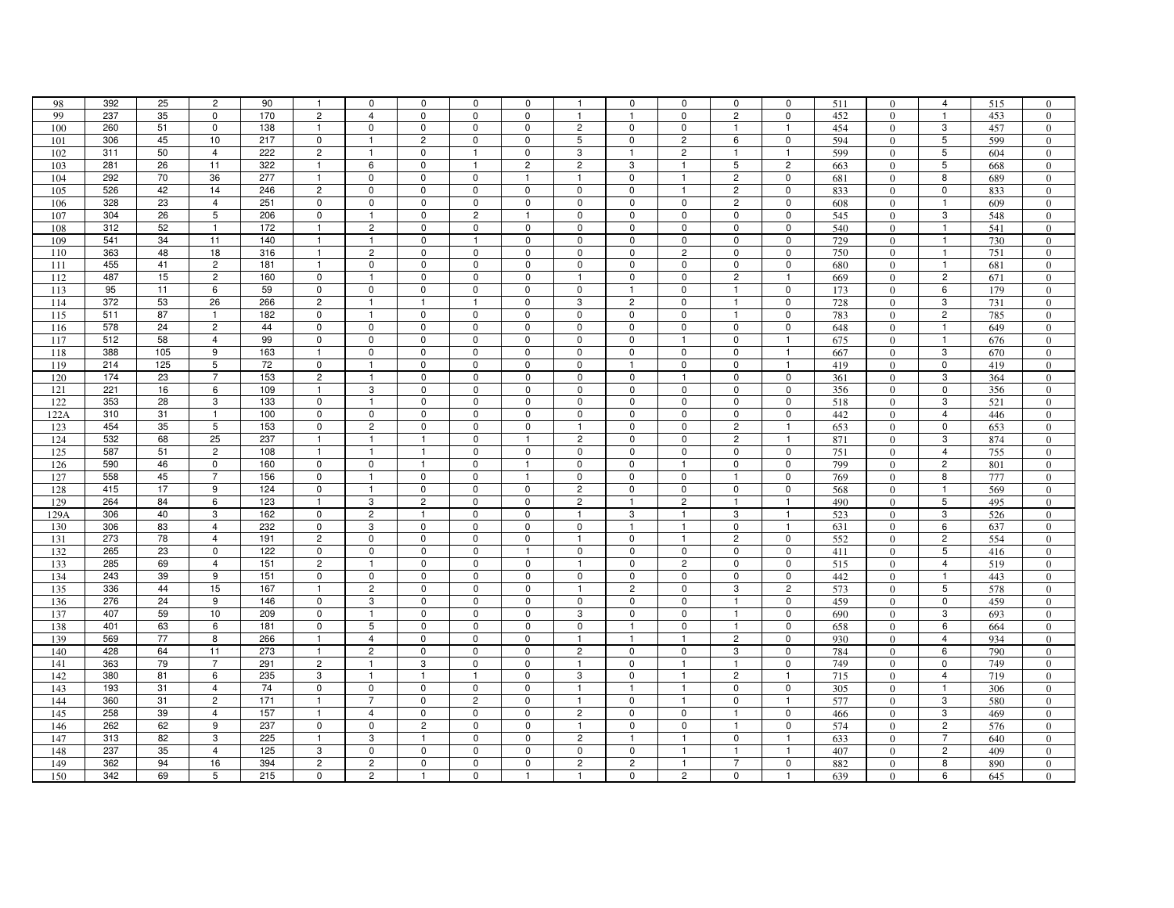| 98   | 392 | 25  | $\overline{2}$ | 90              | $\overline{1}$ | $^{\circ}$     | 0              | $^{\circ}$     | 0                        |                         | 0              | $\mathbf 0$    | 0              | 0              | 511 | $\Omega$         | 4              | 515 | $\mathbf{0}$     |
|------|-----|-----|----------------|-----------------|----------------|----------------|----------------|----------------|--------------------------|-------------------------|----------------|----------------|----------------|----------------|-----|------------------|----------------|-----|------------------|
| 99   | 237 | 35  | 0              | 170             | $\overline{c}$ | $\overline{4}$ | 0              | 0              | $\mathbf 0$              | $\overline{\mathbf{1}}$ | $\mathbf{1}$   | $\Omega$       | $\overline{c}$ | $\Omega$       | 452 | $\Omega$         | $\mathbf{1}$   | 453 | $\overline{0}$   |
| 100  | 260 | 51  | 0              | 138             | $\mathbf{1}$   | 0              | 0              | 0              | 0                        | 2                       | 0              | 0              | $\mathbf{1}$   | $\overline{1}$ | 454 | $\mathbf{0}$     | 3              | 457 | $\overline{0}$   |
| 101  | 306 | 45  | 10             | 217             | $\mathbf 0$    | $\mathbf{1}$   | $\mathbf 2$    | $\mathbf 0$    | $\mathbf 0$              | 5                       | 0              | $\overline{2}$ | 6              | $\mathbf 0$    | 594 | $\mathbf{0}$     | 5              | 599 | $\boldsymbol{0}$ |
| 102  | 311 | 50  | $\overline{4}$ | 222             | $\overline{c}$ | $\mathbf{1}$   | 0              | -1             | $\mathbf 0$              | 3                       | $\mathbf{1}$   | $\overline{2}$ | $\mathbf{1}$   | $\mathbf{1}$   | 599 | $\mathbf{0}$     | 5              | 604 | $\overline{0}$   |
| 103  | 281 | 26  | 11             | 322             | $\overline{1}$ | 6              | 0              | $\overline{1}$ | $\overline{c}$           | $\overline{c}$          | 3              | $\overline{1}$ | $\sqrt{5}$     | $\overline{2}$ | 663 | $\Omega$         | 5              | 668 | $\mathbf{0}$     |
| 104  | 292 | 70  | 36             | 277             | $\overline{1}$ | $\mathbf 0$    | $\mathbf 0$    | $\mathbf 0$    | $\mathbf{1}$             | $\mathbf{1}$            | $\mathbf 0$    | $\mathbf{1}$   | $\overline{2}$ | $\Omega$       |     | $\theta$         | 8              | 689 | $\overline{0}$   |
|      | 526 | 42  | 14             | 246             | $\overline{c}$ | $\mathbf 0$    | $\mathbf 0$    | 0              | 0                        | 0                       | 0              | $\mathbf{1}$   | $\overline{2}$ | 0              | 681 |                  | 0              |     |                  |
| 105  |     |     |                |                 |                |                |                |                |                          |                         |                |                |                |                | 833 | $\Omega$         |                | 833 | $\overline{0}$   |
| 106  | 328 | 23  | $\overline{4}$ | 251             | 0              | $\mathbf 0$    | 0              | $\mathbf 0$    | $\Omega$<br>$\mathbf{1}$ | 0                       | $\mathbf 0$    | $\mathbf 0$    | $\overline{c}$ | $\mathbf 0$    | 608 | $\Omega$         | $\overline{1}$ | 609 | $\overline{0}$   |
| 107  | 304 | 26  | 5              | 206             | $\pmb{0}$      | $\overline{1}$ | $\mathbf 0$    | $\overline{c}$ |                          | 0                       | $\mathbf 0$    | $\mathbf 0$    | $\mathbf 0$    | 0              | 545 | $\mathbf{0}$     | 3              | 548 | $\overline{0}$   |
| 108  | 312 | 52  | $\mathbf{1}$   | 172             | $\overline{1}$ | $\overline{2}$ | $\mathbf 0$    | 0              | 0                        | 0                       | $\mathbf 0$    | 0              | $\mathsf 0$    | $\mathsf 0$    | 540 | $\mathbf{0}$     | $\mathbf{1}$   | 541 | $\mathbf{0}$     |
| 109  | 541 | 34  | 11             | 140             | $\mathbf{1}$   | $\mathbf{1}$   | $\mathbf 0$    |                | $\mathbf 0$              | 0                       | 0              | 0              | $\mathbf 0$    | $\mathbf 0$    | 729 | $\mathbf{0}$     | -1             | 730 | $\mathbf{0}$     |
| 110  | 363 | 48  | 18             | 316             | $\overline{1}$ | $\overline{c}$ | $\mathbf 0$    | $\mathbf 0$    | $\Omega$                 | $\mathbf 0$             | 0              | $\overline{c}$ | $\mathbf 0$    | $\mathbf 0$    | 750 | $\Omega$         | $\mathbf{1}$   | 751 | $\overline{0}$   |
| 111  | 455 | 41  | $\overline{2}$ | 181             | $\overline{1}$ | 0              | $\mathbf 0$    | $\mathbf 0$    | 0                        | 0                       | $\mathbf 0$    | $\mathbf 0$    | 0              | 0              | 680 | $\mathbf{0}$     | $\mathbf{1}$   | 681 | $\overline{0}$   |
| 112  | 487 | 15  | 2              | 160             | 0              | $\mathbf{1}$   | 0              | $\mathbf 0$    | $\Omega$                 | -1                      | 0              | 0              | $\overline{c}$ | $\mathbf{1}$   | 669 | $\Omega$         | 2              | 671 | $\overline{0}$   |
| 113  | 95  | 11  | 6              | 59              | $\pmb{0}$      | $\pmb{0}$      | $\pmb{0}$      | 0              | $\mathbf 0$              | $\mathsf 0$             | $\mathbf{1}$   | $\mathbf 0$    | $\mathbf{1}$   | $\pmb{0}$      | 173 | $\Omega$         | 6              | 179 | $\overline{0}$   |
| 114  | 372 | 53  | 26             | 266             | $\overline{c}$ | $\mathbf{1}$   | $\mathbf{1}$   | $\overline{1}$ | $\mathsf 0$              | 3                       | $\overline{2}$ | $\mathbf 0$    | $\mathbf{1}$   | $\mathbf 0$    | 728 | $\mathbf{0}$     | 3              | 731 | $\overline{0}$   |
| 115  | 511 | 87  | $\mathbf{1}$   | 182             | 0              | $\overline{1}$ | $\mathbf 0$    | 0              | 0                        | 0                       | 0              | $\Omega$       | $\overline{1}$ | $\mathbf 0$    | 783 | $\mathbf{0}$     | $\overline{c}$ | 785 | $\overline{0}$   |
| 116  | 578 | 24  | $\overline{2}$ | 44              | $\mathbf 0$    | $\mathbf 0$    | 0              | 0              | $\mathbf 0$              | $\mathbf 0$             | $\mathbf 0$    | $\mathbf 0$    | $\mathbf 0$    | $\mathbf 0$    | 648 | $\Omega$         | $\overline{1}$ | 649 | $\Omega$         |
| 117  | 512 | 58  | 4              | 99              | 0              | 0              | 0              | 0              | 0                        | 0                       | 0              | $\mathbf{1}$   | $\mathbf 0$    | $\overline{1}$ | 675 | $\mathbf{0}$     | $\overline{1}$ | 676 | $\mathbf{0}$     |
| 118  | 388 | 105 | 9              | 163             | -1             | $\mathbf 0$    | 0              | 0              | 0                        | $\mathbf 0$             | 0              | 0              | $\mathbf 0$    | $\mathbf{1}$   | 667 | $\overline{0}$   | 3              | 670 | $\overline{0}$   |
| 119  | 214 | 125 | 5              | $\overline{72}$ | $\mathbf 0$    | $\mathbf{1}$   | 0              | 0              | $\mathbf 0$              | 0                       | $\mathbf{1}$   | $\mathbf 0$    | $\mathbf 0$    | $\overline{1}$ | 419 | $\Omega$         | 0              | 419 | $\overline{0}$   |
| 120  | 174 | 23  | $\overline{7}$ | 153             | $\overline{c}$ | $\mathbf{1}$   | $\pmb{0}$      | 0              | 0                        | 0                       | $\mathbf 0$    | $\mathbf{1}$   | $\pmb{0}$      | $\mathbf 0$    | 361 | $\mathbf{0}$     | 3              | 364 | $\mathbf{0}$     |
| 121  | 221 | 16  | 6              | 109             | $\mathbf{1}$   | 3              | $\mathbf 0$    | 0              | 0                        | 0                       | $\mathbf 0$    | $\mathbf 0$    | $\mathbf 0$    | 0              | 356 | $\mathbf{0}$     | $\mathbf 0$    | 356 | $\boldsymbol{0}$ |
| 122  | 353 | 28  | 3              | 133             | $\mathbf 0$    | $\mathbf{1}$   | $\mathbf 0$    | $\Omega$       | $\Omega$                 | 0                       | $\mathbf 0$    | 0              | $\Omega$       | $\mathbf 0$    | 518 | $\Omega$         | 3              | 521 | $\Omega$         |
| 122A | 310 | 31  | $\overline{1}$ | 100             | $\mathbf 0$    | $\mathbf 0$    | $\mathbf 0$    | $\mathbf 0$    | $\Omega$                 | 0                       | $\mathbf 0$    | $\mathbf 0$    | $\mathbf 0$    | 0              | 442 | $\Omega$         | $\overline{4}$ | 446 | $\overline{0}$   |
| 123  | 454 | 35  | 5              | 153             | $\mathbf 0$    | $\overline{2}$ | $\pmb{0}$      | 0              | $\mathbf 0$              | -1                      | $\mathbf 0$    | $\mathbf 0$    | $\overline{2}$ | $\mathbf{1}$   | 653 | $\overline{0}$   | $\mathbf 0$    | 653 | $\mathbf{0}$     |
| 124  | 532 | 68  | 25             | 237             | $\mathbf{1}$   | $\mathbf{1}$   | $\mathbf{1}$   | $\mathbf 0$    |                          | $\overline{2}$          | $\mathbf 0$    | 0              | $\overline{c}$ | $\mathbf{1}$   | 871 | $\mathbf{0}$     | 3              | 874 | $\overline{0}$   |
| 125  | 587 | 51  | $\overline{c}$ | 108             | $\mathbf{1}$   | $\overline{1}$ | $\mathbf{1}$   | 0              | 0                        | 0                       | 0              | $\mathbf 0$    | $\mathbf 0$    | 0              | 751 | $\Omega$         | 4              | 755 | $\overline{0}$   |
| 126  | 590 | 46  | 0              | 160             | $\mathbf 0$    | $\mathbf 0$    | $\mathbf{1}$   | $\mathbf 0$    | $\mathbf{1}$             | $\mathbf 0$             | $\mathbf 0$    | $\mathbf{1}$   | $\mathbf 0$    | $\mathbf 0$    | 799 | $\boldsymbol{0}$ | $\overline{c}$ | 801 | $\mathbf{0}$     |
| 127  | 558 | 45  | $\overline{7}$ | 156             | $\mathbf 0$    | $\mathbf{1}$   | 0              | 0              | -1                       | $\mathbf 0$             | $\mathbf 0$    | 0              | $\mathbf{1}$   | $\mathbf 0$    | 769 | $\mathbf{0}$     | 8              | 777 | $\overline{0}$   |
| 128  | 415 | 17  | 9              | 124             | 0              | $\mathbf{1}$   | 0              | 0              | $\mathbf 0$              | $\overline{c}$          | 0              | 0              | $\mathbf 0$    | $\mathbf 0$    | 568 | $\Omega$         | $\mathbf{1}$   | 569 | $\mathbf{0}$     |
| 129  | 264 | 84  | 6              | 123             | $\mathbf{1}$   | 3              | $\mathbf 2$    | 0              | $\mathbf 0$              | $\overline{c}$          | $\mathbf{1}$   | $\overline{2}$ | $\overline{1}$ | $\mathbf{1}$   | 490 | $\Omega$         | 5              | 495 | $\overline{0}$   |
| 129A | 306 | 40  | 3              | 162             | $\mathbf 0$    | $\overline{c}$ | $\mathbf{1}$   | 0              | $\mathbf 0$              | $\mathbf{1}$            | 3              | $\mathbf{1}$   | 3              | $\mathbf{1}$   |     |                  | 3              |     |                  |
|      | 306 |     | $\overline{4}$ | 232             |                | 3              | $\mathbf 0$    | 0              | $\mathbf 0$              | $\mathbf 0$             | $\mathbf{1}$   | $\mathbf{1}$   | $\mathbf 0$    | $\mathbf{1}$   | 523 | $\mathbf{0}$     |                | 526 | $\mathbf{0}$     |
| 130  |     | 83  |                |                 | 0              |                |                |                |                          | $\overline{1}$          |                | $\mathbf{1}$   |                |                | 631 | $\mathbf{0}$     | 6              | 637 | $\overline{0}$   |
| 131  | 273 | 78  | $\overline{4}$ | 191             | $\overline{c}$ | $\mathbf 0$    | $\mathbf 0$    | $\Omega$       | $\mathbf 0$              |                         | $\mathbf 0$    |                | $\overline{c}$ | $\mathbf 0$    | 552 | $\Omega$         | $\overline{c}$ | 554 | $\Omega$         |
| 132  | 265 | 23  | $\mathbf{0}$   | 122             | $\mathbf 0$    | 0              | 0              | 0              | $\mathbf{1}$             | $\mathbf 0$             | $\mathbf 0$    | $\mathbf 0$    | $\mathbf 0$    | $\mathbf 0$    | 411 | $\Omega$         | 5              | 416 | $\overline{0}$   |
| 133  | 285 | 69  | $\overline{4}$ | 151             | $\overline{c}$ | $\mathbf{1}$   | 0              | $\mathbf 0$    | 0                        | -1                      | 0              | 2              | 0              | 0              | 515 | $\mathbf{0}$     | 4              | 519 | $\overline{0}$   |
| 134  | 243 | 39  | 9              | 151             | $\pmb{0}$      | $\pmb{0}$      | $\mathbf 0$    | $\Omega$       | $\Omega$                 | $\Omega$                | 0              | 0              | $\mathbf 0$    | $\pmb{0}$      | 442 | $\Omega$         | 1              | 443 | $\Omega$         |
| 135  | 336 | 44  | 15             | 167             | $\overline{1}$ | $\overline{2}$ | 0              | 0              | $\mathbf 0$              | $\mathbf{1}$            | $\overline{2}$ | $\mathbf 0$    | 3              | $\overline{c}$ | 573 | $\mathbf{0}$     | 5              | 578 | $\mathbf{0}$     |
| 136  | 276 | 24  | 9              | 146             | $\mathbf 0$    | 3              | $\mathbf 0$    | 0              | $\mathbf 0$              | 0                       | 0              | 0              | 1              | 0              | 459 | $\mathbf{0}$     | $\mathbf 0$    | 459 | $\mathbf{0}$     |
| 137  | 407 | 59  | 10             | 209             | $\mathbf 0$    | $\overline{1}$ | $\mathbf 0$    | $\Omega$       | $\Omega$                 | 3                       | $\mathbf 0$    | $\mathbf 0$    | $\mathbf{1}$   | $\mathbf 0$    | 690 | $\Omega$         | 3              | 693 | $\overline{0}$   |
| 138  | 401 | 63  | 6              | 181             | $\pmb{0}$      | 5              | $\mathbf 0$    | 0              | $\mathbf 0$              | 0                       | $\mathbf{1}$   | $\mathbf 0$    | $\mathbf{1}$   | 0              | 658 | $\mathbf{0}$     | 6              | 664 | $\mathbf{0}$     |
| 139  | 569 | 77  | 8              | 266             | -1             | $\overline{4}$ | 0              | 0              | 0                        | -1                      | 1              | 1              | $\overline{c}$ | $\pmb{0}$      | 930 | $\overline{0}$   | 4              | 934 | $\mathbf{0}$     |
| 140  | 428 | 64  | 11             | 273             | $\mathbf{1}$   | $\overline{2}$ | $\mathbf 0$    | $\mathbf 0$    | $\mathbf 0$              | $\overline{c}$          | $\mathbf 0$    | $\mathbf 0$    | $\overline{3}$ | $\mathbf 0$    | 784 | $\Omega$         | 6              | 790 | $\overline{0}$   |
| 141  | 363 | 79  | $\overline{7}$ | 291             | $\overline{c}$ | $\mathbf{1}$   | 3              | $\mathbf 0$    | $\mathbf 0$              | $\mathbf{1}$            | $\mathsf 0$    | $\overline{1}$ | $\mathbf{1}$   | $\mathbf 0$    | 749 | $\mathbf{0}$     | 0              | 749 | $\overline{0}$   |
| 142  | 380 | 81  | 6              | 235             | 3              | $\mathbf{1}$   | -1             | -1             | 0                        | 3                       | 0              | $\mathbf{1}$   | $\overline{c}$ | $\mathbf{1}$   | 715 | $\mathbf{0}$     | 4              | 719 | $\mathbf{0}$     |
| 143  | 193 | 31  | $\overline{4}$ | 74              | $\mathbf 0$    | $\mathbf 0$    | $\mathbf 0$    | 0              | $\Omega$                 | $\overline{\mathbf{1}}$ | 1              |                | $\Omega$       | $\mathbf 0$    | 305 | $\Omega$         | $\mathbf{1}$   | 306 | $\overline{0}$   |
| 144  | 360 | 31  | $\overline{c}$ | 171             | $\overline{1}$ | $\overline{7}$ | $\mathbf 0$    | $\overline{2}$ | $\Omega$                 | $\overline{1}$          | $\mathbf 0$    | $\mathbf{1}$   | $\mathbf 0$    | $\overline{1}$ | 577 | $\Omega$         | 3              | 580 | $\overline{0}$   |
| 145  | 258 | 39  | $\overline{4}$ | 157             | $\mathbf{1}$   | $\overline{4}$ | $\pmb{0}$      | $\mathbf 0$    | $\mathsf 0$              | $\overline{c}$          | $\mathsf 0$    | $\mathbf 0$    | $\mathbf{1}$   | $\mathbf{0}$   | 466 | $\mathbf{0}$     | 3              | 469 | $\mathbf{0}$     |
| 146  | 262 | 62  | 9              | 237             | $\mathbf 0$    | 0              | $\overline{c}$ | $\mathbf 0$    | 0                        | $\mathbf{1}$            | 0              | 0              | $\mathbf{1}$   | $\mathsf 0$    | 574 | $\mathbf{0}$     | $\overline{c}$ | 576 | $\overline{0}$   |
| 147  | 313 | 82  | 3              | 225             | $\overline{1}$ | 3              | $\mathbf{1}$   | $\mathbf 0$    | $\mathbf 0$              | $\overline{c}$          | $\mathbf{1}$   | $\mathbf{1}$   | $\pmb{0}$      | $\mathbf{1}$   | 633 | $\Omega$         | $\overline{7}$ | 640 | $\boldsymbol{0}$ |
| 148  | 237 | 35  | $\overline{4}$ | 125             | 3              | $\mathbf 0$    | $\pmb{0}$      | $\mathbf 0$    | $\mathbf 0$              | 0                       | $\mathbf 0$    | $\mathbf{1}$   | $\mathbf{1}$   | $\mathbf{1}$   | 407 | $\Omega$         | $\overline{c}$ | 409 | $\overline{0}$   |
| 149  | 362 | 94  | 16             | 394             | $\overline{c}$ | $\overline{c}$ | $\mathbf 0$    | $\Omega$       | $\Omega$                 | $\overline{2}$          | $\overline{c}$ |                | $\overline{7}$ | $\mathbf 0$    | 882 | $\Omega$         | 8              | 890 | $\overline{0}$   |
| 150  | 342 | 69  | 5              | 215             | 0              | $\overline{2}$ | $\mathbf{1}$   | $\Omega$       |                          |                         | 0              | $\overline{c}$ | $\Omega$       | $\mathbf{1}$   | 639 | $\Omega$         | 6              | 645 | $\Omega$         |
|      |     |     |                |                 |                |                |                |                |                          |                         |                |                |                |                |     |                  |                |     |                  |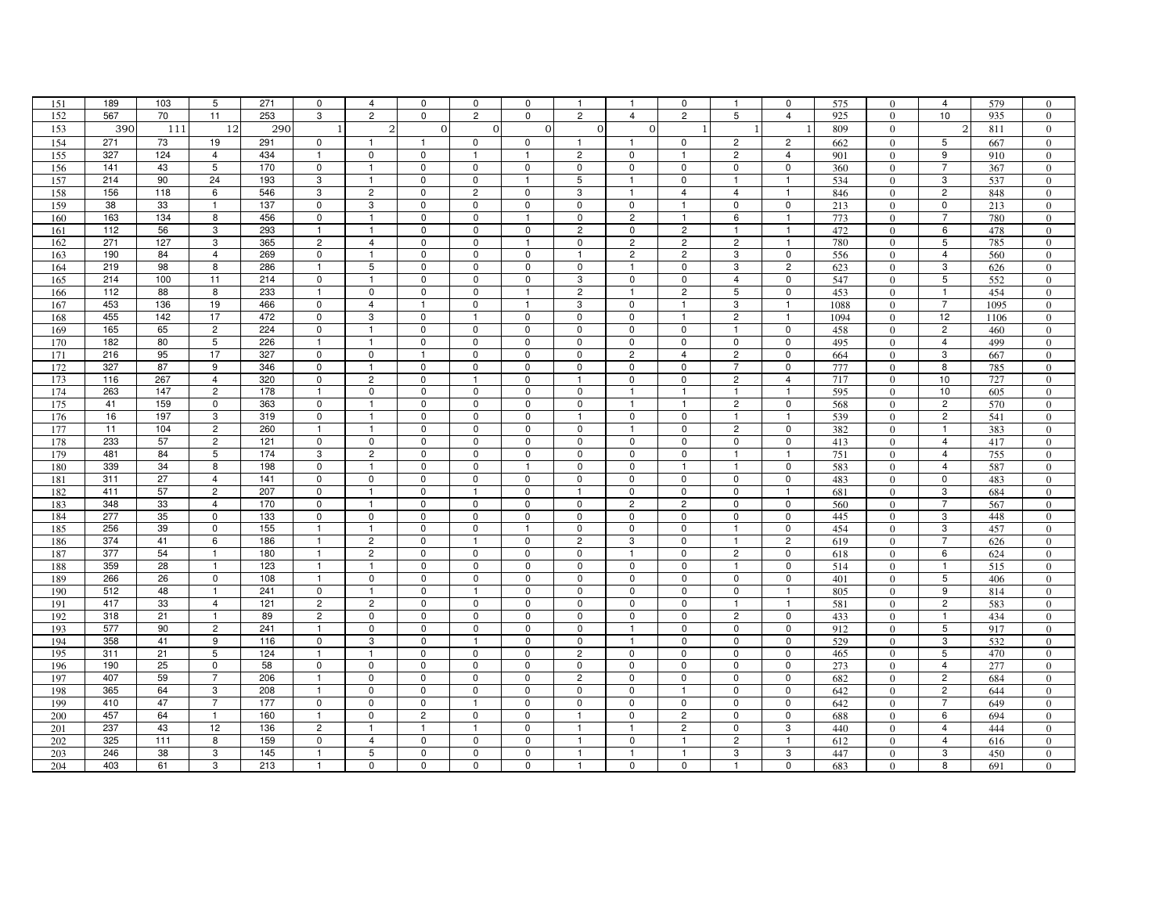| 151 | 189 | 103 | 5              | 271 | 0              | $\overline{4}$ | 0              | 0                       | 0              | $\mathbf{1}$   | -1             | 0                       | $\mathbf{1}$   | 0              | 575  | $\Omega$       | 4                       | 579  | 0                |
|-----|-----|-----|----------------|-----|----------------|----------------|----------------|-------------------------|----------------|----------------|----------------|-------------------------|----------------|----------------|------|----------------|-------------------------|------|------------------|
| 152 | 567 | 70  | 11             | 253 | 3              | $\mathbf{2}$   | $\mathbf 0$    | $\overline{2}$          | $\mathbf 0$    | $\overline{2}$ | $\overline{4}$ | $\overline{c}$          | 5              | $\overline{4}$ | 925  | $\mathbf{0}$   | 10                      | 935  | $\overline{0}$   |
| 153 | 390 | 111 | 12             | 290 |                | $\overline{2}$ | $\Omega$       | $\Omega$                | $\mathbf{O}$   | $\Omega$       | $\Omega$       |                         | -1             | -1             | 809  | $\overline{0}$ | $\overline{2}$          | 811  | $\mathbf{0}$     |
| 154 | 271 | 73  | 19             | 291 | $\mathbf 0$    | $\overline{1}$ |                | $\mathbf 0$             | $\mathbf 0$    |                | $\mathbf{1}$   | $\mathbf 0$             | $\overline{2}$ | $\overline{c}$ | 662  | $\mathbf{0}$   | 5                       | 667  | $\overline{0}$   |
| 155 | 327 | 124 | $\overline{4}$ | 434 | $\overline{1}$ | $\mathbf 0$    | $\mathbf 0$    | $\mathbf{1}$            |                | $\overline{2}$ | $\mathbf 0$    | $\mathbf{1}$            | $\overline{c}$ | $\overline{4}$ | 901  | $\Omega$       | 9                       | 910  | $\overline{0}$   |
| 156 | 141 | 43  | 5              | 170 | $\pmb{0}$      | $\overline{1}$ | $\pmb{0}$      | $\mathbf 0$             | $\mathbf 0$    | $\mathbf 0$    | 0              | 0                       | $\mathbf 0$    | $\mathbf 0$    | 360  | $\Omega$       | $\overline{7}$          | 367  | $\overline{0}$   |
| 157 | 214 | 90  | 24             | 193 | 3              | $\mathbf{1}$   | $\mathbf 0$    | $\mathbf 0$             | -1             | 5              | $\mathbf{1}$   | $\mathbf 0$             | $\mathbf{1}$   | $\mathbf{1}$   | 534  | $\overline{0}$ | 3                       | 537  | $\mathbf{0}$     |
| 158 | 156 | 118 | 6              | 546 | 3              | $\overline{c}$ | $\mathbf 0$    | $\overline{c}$          | $\mathbf 0$    | 3              | $\mathbf{1}$   | $\overline{4}$          | $\overline{4}$ | $\mathbf{1}$   | 846  | $\mathbf{0}$   | $\overline{\mathbf{c}}$ | 848  | $\overline{0}$   |
| 159 | 38  | 33  | $\overline{1}$ | 137 | $\mathbf 0$    | 3              | $\mathbf 0$    | $\mathbf 0$             | $\Omega$       | $\mathbf 0$    | 0              | $\overline{1}$          | $\mathbf 0$    | $\mathbf 0$    | 213  | $\Omega$       | 0                       | 213  | $\Omega$         |
| 160 | 163 | 134 | 8              | 456 | $\mathsf 0$    | $\overline{1}$ | $\pmb{0}$      | $\mathbf 0$             | $\mathbf{1}$   | $\mathbf 0$    | $\overline{2}$ | $\mathbf{1}$            | 6              | $\mathbf{1}$   | 773  | $\mathbf{0}$   | $\overline{7}$          | 780  | $\boldsymbol{0}$ |
| 161 | 112 | 56  | 3              | 293 |                |                | $\mathbf 0$    | $\mathbf 0$             | $\mathbf 0$    | $\overline{2}$ | 0              | $\overline{c}$          | -1             | -1             | 472  | $\mathbf{0}$   | 6                       | 478  | $\overline{0}$   |
| 162 | 271 | 127 | 3              | 365 | $\overline{2}$ | $\overline{4}$ | $\mathbf 0$    | $\mathbf 0$             | $\overline{1}$ | $\mathbf 0$    | $\overline{2}$ | $\overline{c}$          | $\overline{2}$ | $\mathbf{1}$   | 780  | $\Omega$       | 5                       | 785  | $\overline{0}$   |
| 163 | 190 | 84  | $\overline{4}$ | 269 | $\mathbf 0$    | $\overline{1}$ | $\mathbf 0$    | $\mathbf 0$             | $\Omega$       | $\overline{1}$ | $\overline{c}$ | $\overline{c}$          | 3              | $\mathbf 0$    | 556  | $\Omega$       | $\overline{4}$          | 560  | $\Omega$         |
| 164 | 219 | 98  | 8              | 286 | $\mathbf{1}$   | 5              | $\mathbf 0$    | 0                       | 0              | 0              | $\mathbf{1}$   | 0                       | 3              | $\overline{c}$ | 623  | $\overline{0}$ | 3                       | 626  | $\mathbf{0}$     |
| 165 | 214 | 100 | 11             | 214 | $\mathbf 0$    | $\overline{1}$ | $\mathbf 0$    | 0                       | $\mathbf 0$    | 3              | $\mathbf 0$    | 0                       | $\overline{4}$ | 0              | 547  | $\Omega$       | 5                       | 552  | $\overline{0}$   |
| 166 | 112 | 88  | 8              | 233 |                | $\mathbf 0$    | $\mathbf 0$    | $\mathbf 0$             | $\mathbf{1}$   | $\overline{c}$ | $\mathbf{1}$   | $\overline{c}$          | $\sqrt{5}$     | 0              | 453  | $\mathbf{0}$   | $\mathbf{1}$            | 454  | $\overline{0}$   |
| 167 | 453 | 136 | 19             | 466 | $\mathbf 0$    | $\overline{4}$ | $\mathbf{1}$   | 0                       | $\overline{1}$ | 3              | 0              | $\overline{1}$          | 3              | $\mathbf{1}$   | 1088 | $\Omega$       | $\overline{7}$          | 1095 | $\overline{0}$   |
| 168 | 455 | 142 | 17             | 472 | $\mathbf 0$    | 3              | $\mathbf 0$    | $\mathbf{1}$            | $\mathbf 0$    | $\mathbf 0$    | $\mathbf 0$    | $\mathbf{1}$            | $\overline{c}$ | $\mathbf{1}$   | 1094 | $\overline{0}$ | 12                      | 1106 | $\mathbf{0}$     |
| 169 | 165 | 65  | $\overline{c}$ | 224 | 0              | $\overline{1}$ | $\mathbf 0$    | 0                       | $\Omega$       | $\mathbf 0$    | 0              | $\mathbf 0$             | -1             | $\mathbf 0$    | 458  | $\mathbf{0}$   | 2                       | 460  | $\overline{0}$   |
| 170 | 182 | 80  | 5              | 226 | $\overline{1}$ | $\overline{1}$ | $\mathbf 0$    | 0                       | $\Omega$       | $\Omega$       | 0              | $\mathbf 0$             | $\mathbf 0$    | $\mathbf 0$    | 495  | $\Omega$       | $\overline{4}$          | 499  | $\Omega$         |
| 171 | 216 | 95  | 17             | 327 | $\mathbf 0$    | $\mathbf 0$    | $\mathbf{1}$   | 0                       | $\mathbf 0$    | $\mathbf 0$    | $\overline{c}$ | $\overline{4}$          | $\overline{2}$ | $\mathbf 0$    | 664  | $\overline{0}$ | 3                       | 667  | $\overline{0}$   |
| 172 | 327 | 87  | 9              | 346 | $\mathbf 0$    | $\mathbf{1}$   | $\mathbf 0$    | 0                       | 0              | 0              | 0              | 0                       | 7              | 0              | 777  | $\overline{0}$ | 8                       | 785  | $\mathbf{0}$     |
| 173 | 116 | 267 | $\overline{4}$ | 320 | $\mathbf 0$    | $\overline{c}$ | $\mathbf 0$    |                         | $\mathbf 0$    | $\mathbf{1}$   | $\mathbf 0$    | $\mathbf 0$             | $\overline{2}$ | $\overline{4}$ | 717  | $\Omega$       | 10                      | 727  | $\Omega$         |
| 174 | 263 | 147 | $\overline{c}$ | 178 | $\overline{1}$ | $\mathbf 0$    | $\mathbf 0$    | 0                       | $\mathbf 0$    | $\mathbf 0$    | -1             |                         | $\overline{1}$ | $\overline{1}$ | 595  | $\Omega$       | 10                      | 605  | $\overline{0}$   |
| 175 | 41  | 159 | $\mathsf{O}$   | 363 | $\mathbf 0$    | $\overline{1}$ | $\mathbf 0$    | $\mathbf 0$             | $\mathbf 0$    | $\mathbf 0$    | $\mathbf{1}$   | $\overline{\mathbf{1}}$ | $\overline{c}$ | $\mathsf 0$    | 568  | $\overline{0}$ | $\sqrt{2}$              | 570  | $\overline{0}$   |
| 176 | 16  | 197 | 3              | 319 | $\mathbf 0$    | $\overline{1}$ | $\mathbf 0$    | 0                       | 0              | $\mathbf{1}$   | 0              | 0                       | $\mathbf{1}$   | $\overline{1}$ | 539  | $\mathbf{0}$   | $\overline{c}$          | 541  | $\mathbf{0}$     |
| 177 | 11  | 104 | $\overline{2}$ | 260 |                | $\overline{1}$ | $\mathbf 0$    | $\Omega$                | $\mathbf 0$    | $\mathbf 0$    | $\mathbf{1}$   | $\mathbf 0$             | $\overline{2}$ | $\mathbf 0$    | 382  | $\mathbf{0}$   | 1                       | 383  | $\overline{0}$   |
| 178 | 233 | 57  | $\overline{c}$ | 121 | $\mathbf 0$    | $\mathbf 0$    | $\mathbf 0$    | $\Omega$                | $\Omega$       | $\mathbf 0$    | 0              | $\mathbf 0$             | $\mathbf 0$    | 0              | 413  | $\Omega$       | $\overline{4}$          | 417  | $\Omega$         |
| 179 | 481 | 84  | 5              | 174 | 3              | $\overline{2}$ | $\pmb{0}$      | $\mathbf 0$             | $\mathbf 0$    | $\mathbf 0$    | $\mathsf 0$    | $\mathbf 0$             | $\mathbf{1}$   | $\overline{1}$ | 751  | $\overline{0}$ | $\overline{4}$          | 755  | $\overline{0}$   |
| 180 | 339 | 34  | 8              | 198 | $\mathbf 0$    | $\overline{1}$ | $\mathbf 0$    | 0                       | -1             | $\mathbf 0$    | $\mathbf 0$    | -1                      | -1             | 0              | 583  | $\overline{0}$ | 4                       | 587  | $\overline{0}$   |
| 181 | 311 | 27  | $\overline{4}$ | 141 | $\pmb{0}$      | $\pmb{0}$      | $\pmb{0}$      | $\mathbf 0$             | $\mathbf 0$    | 0              | $\mathsf 0$    | 0                       | $\mathbf 0$    | $\mathbf 0$    | 483  | $\mathbf{0}$   | 0                       | 483  | $\overline{0}$   |
| 182 | 411 | 57  | $\overline{2}$ | 207 | $\mathbf 0$    | $\mathbf{1}$   | $\mathbf 0$    | $\mathbf{1}$            | 0              | $\mathbf{1}$   | 0              | 0                       | $\mathbf 0$    | $\overline{1}$ | 681  | $\overline{0}$ | 3                       | 684  | $\overline{0}$   |
| 183 | 348 | 33  | $\overline{4}$ | 170 | $\pmb{0}$      | $\mathbf{1}$   | $\pmb{0}$      | $\mathbf 0$             | $\mathbf 0$    | $\mathbf 0$    | $\overline{c}$ | $\overline{c}$          | $\pmb{0}$      | $\mathbf 0$    | 560  | $\mathbf{0}$   | $\overline{7}$          | 567  | $\boldsymbol{0}$ |
| 184 | 277 | 35  | $\mathbf 0$    | 133 | $\mathbf 0$    | $\mathbf 0$    | $\mathbf 0$    | 0                       | 0              | 0              | 0              | 0                       | $\mathbf 0$    | $\mathbf 0$    | 445  | $\mathbf{0}$   | 3                       | 448  | $\overline{0}$   |
| 185 | 256 | 39  | $\mathbf 0$    | 155 | $\overline{1}$ | $\mathbf{1}$   | $\mathbf 0$    | $\mathbf 0$             |                | 0              | 0              | $\mathbf 0$             | $\mathbf{1}$   | $\pmb{0}$      | 454  | $\mathbf{0}$   | 3                       | 457  | $\overline{0}$   |
| 186 | 374 | 41  | 6              | 186 | $\overline{1}$ | $\overline{2}$ | $\mathbf 0$    | $\mathbf{1}$            | 0              | $\overline{c}$ | 3              | 0                       | $\mathbf{1}$   | $\overline{2}$ | 619  | $\overline{0}$ | $\overline{7}$          | 626  | $\overline{0}$   |
| 187 | 377 | 54  | $\mathbf{1}$   | 180 | $\mathbf{1}$   | $\overline{2}$ | $\pmb{0}$      | 0                       | 0              | $\mathbf 0$    | $\mathbf{1}$   | 0                       | $\overline{c}$ | $\mathbf 0$    | 618  | $\overline{0}$ | 6                       | 624  | $\mathbf{0}$     |
| 188 | 359 | 28  | $\overline{1}$ | 123 | -1             | $\mathbf{1}$   | $\mathbf 0$    | 0                       | $\mathbf 0$    | 0              | $^{\circ}$     | 0                       | -1             | 0              | 514  | $\mathbf{0}$   | -1                      | 515  | $\overline{0}$   |
| 189 | 266 | 26  | $\mathsf 0$    | 108 | $\overline{1}$ | $\mathbf 0$    | $\mathbf 0$    | $\mathbf 0$             | $\mathbf 0$    | $\Omega$       | 0              | 0                       | $\mathbf 0$    | $\mathsf 0$    | 401  | $\Omega$       | 5                       | 406  | $\Omega$         |
| 190 | 512 | 48  | $\overline{1}$ | 241 | $\pmb{0}$      | $\overline{1}$ | $\mathbf 0$    | $\mathbf{1}$            | 0              | 0              | 0              | 0                       | 0              | $\overline{1}$ | 805  | $\overline{0}$ | 9                       | 814  | $\overline{0}$   |
| 191 | 417 | 33  | 4              | 121 | $\overline{c}$ | $\overline{c}$ | $\mathbf 0$    | $\mathbf 0$             | $\mathbf 0$    | 0              | 0              | 0                       | $\mathbf{1}$   | $\overline{1}$ | 581  | $\overline{0}$ | $\overline{c}$          | 583  | $\mathbf{0}$     |
| 192 | 318 | 21  | $\mathbf{1}$   | 89  | $\overline{c}$ | $\mathbf 0$    | $\mathbf 0$    | 0                       | $\mathbf 0$    | $\mathbf 0$    | 0              | 0                       | $\overline{c}$ | 0              | 433  | $\Omega$       | 1                       | 434  | $\overline{0}$   |
| 193 | 577 | 90  | $\overline{c}$ | 241 | $\overline{1}$ | $\mathbf 0$    | $\mathbf 0$    | $\mathbf 0$             | $\overline{0}$ | $\mathbf 0$    | $\mathbf{1}$   | $\mathsf 0$             | $\pmb{0}$      | $\mathsf 0$    | 912  | $\Omega$       | 5                       | 917  | $\boldsymbol{0}$ |
| 194 | 358 | 41  | 9              | 116 | $\mathbf 0$    | 3              | $\mathbf 0$    | $\overline{\mathbf{1}}$ | 0              | $\mathbf 0$    | $\mathbf{1}$   | 0                       | 0              | $\mathbf 0$    | 529  | $\overline{0}$ | 3                       | 532  | $\mathbf{0}$     |
| 195 | 311 | 21  | 5              | 124 | $\overline{1}$ | $\mathbf{1}$   | $\mathbf 0$    | $\mathbf 0$             | 0              | $\overline{c}$ | $\mathsf 0$    | 0                       | $\mathbf 0$    | $\mathbf 0$    | 465  | $\mathbf{0}$   | 5                       | 470  | $\overline{0}$   |
| 196 | 190 | 25  | $\mathbf 0$    | 58  | $\mathbf 0$    | $\mathbf 0$    | $\mathbf 0$    | 0                       | $\mathbf 0$    | $\mathbf 0$    | $\mathbf 0$    | $\mathbf 0$             | $\mathbf 0$    | $\Omega$       | 273  | $\Omega$       | 4                       | 277  | $\overline{0}$   |
| 197 | 407 | 59  | $\overline{7}$ | 206 | $\overline{1}$ | $\mathbf 0$    | $\mathbf 0$    | $\mathbf 0$             | $\mathbf 0$    | $\overline{c}$ | 0              | 0                       | $\pmb{0}$      | $\mathbf 0$    | 682  | $\theta$       | $\overline{c}$          | 684  | $\theta$         |
| 198 | 365 | 64  | 3              | 208 | $\mathbf{1}$   | $\mathsf 0$    | $\pmb{0}$      | $\mathbf 0$             | $\mathbf 0$    | $\mathbf 0$    | $\mathbf 0$    | $\mathbf{1}$            | $\mathbf 0$    | $\mathbf 0$    | 642  | $\overline{0}$ | $\overline{c}$          | 644  | $\mathbf{0}$     |
| 199 | 410 | 47  | $\overline{7}$ | 177 | $\mathbf 0$    | $\mathbf 0$    | $\mathbf 0$    |                         | $\mathbf 0$    | 0              | 0              | 0                       | $\mathbf 0$    | 0              | 642  | $\mathbf{0}$   | 7                       | 649  | $\overline{0}$   |
| 200 | 457 | 64  | $\mathbf{1}$   | 160 | $\overline{1}$ | $\mathbf 0$    | $\overline{c}$ | 0                       | $\Omega$       | -1             | $\mathbf 0$    | $\overline{c}$          | $\mathbf 0$    | $\mathbf 0$    | 688  | $\Omega$       | 6                       | 694  | $\overline{0}$   |
| 201 | 237 | 43  | 12             | 136 | $\overline{c}$ | $\mathbf{1}$   | $\mathbf{1}$   | $\mathbf{1}$            | $\mathbf 0$    | $\mathbf{1}$   | $\mathbf{1}$   | $\overline{c}$          | $\mathbf 0$    | 3              | 440  | $\mathbf{0}$   | $\overline{4}$          | 444  | $\overline{0}$   |
| 202 | 325 | 111 | 8              | 159 | $\mathbf 0$    | $\overline{4}$ | $\mathbf 0$    | $\mathbf 0$             | $\mathbf 0$    | $\mathbf{1}$   | 0              | -1                      | $\overline{c}$ | $\mathbf{1}$   | 612  | $\Omega$       | $\overline{4}$          | 616  | $\overline{0}$   |
| 203 | 246 | 38  | 3              | 145 |                | 5              | $\mathsf 0$    | 0                       | $\mathbf 0$    | $\mathbf{1}$   |                |                         | 3              | 3              | 447  | $\Omega$       | 3                       | 450  | $\overline{0}$   |
| 204 | 403 | 61  | 3              | 213 |                | $\mathbf 0$    | $\mathbf 0$    | $\mathbf 0$             | $\Omega$       |                | 0              | $\mathbf 0$             | $\mathbf{1}$   | $\mathbf 0$    | 683  | $\Omega$       | 8                       | 691  | $\Omega$         |